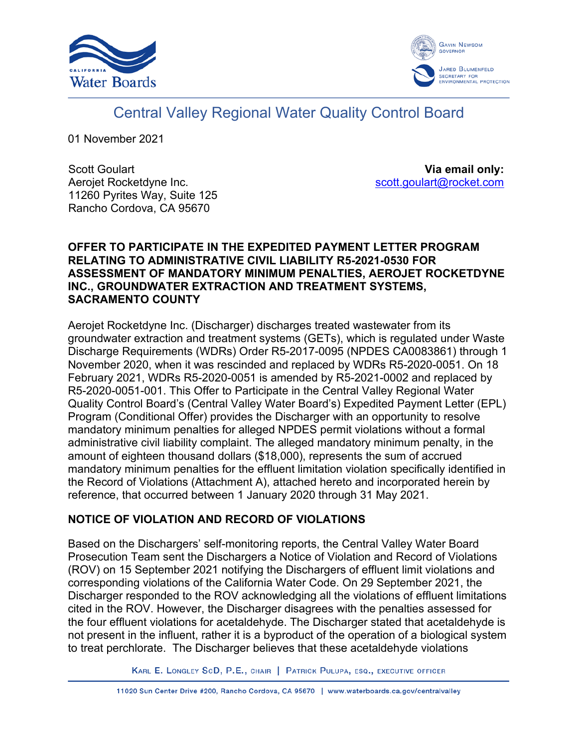



# Central Valley Regional Water Quality Control Board

01 November 2021

Scott Goulart Aerojet Rocketdyne Inc. 11260 Pyrites Way, Suite 125 Rancho Cordova, CA 95670

**Via email only:** [scott.goulart@rocket.com](mailto:scott.goulart@rocket.com)

#### **OFFER TO PARTICIPATE IN THE EXPEDITED PAYMENT LETTER PROGRAM RELATING TO ADMINISTRATIVE CIVIL LIABILITY R5-2021-0530 FOR ASSESSMENT OF MANDATORY MINIMUM PENALTIES, AEROJET ROCKETDYNE INC., GROUNDWATER EXTRACTION AND TREATMENT SYSTEMS, SACRAMENTO COUNTY**

Aerojet Rocketdyne Inc. (Discharger) discharges treated wastewater from its groundwater extraction and treatment systems (GETs), which is regulated under Waste Discharge Requirements (WDRs) Order R5-2017-0095 (NPDES CA0083861) through 1 November 2020, when it was rescinded and replaced by WDRs R5-2020-0051. On 18 February 2021, WDRs R5-2020-0051 is amended by R5-2021-0002 and replaced by R5-2020-0051-001. This Offer to Participate in the Central Valley Regional Water Quality Control Board's (Central Valley Water Board's) Expedited Payment Letter (EPL) Program (Conditional Offer) provides the Discharger with an opportunity to resolve mandatory minimum penalties for alleged NPDES permit violations without a formal administrative civil liability complaint. The alleged mandatory minimum penalty, in the amount of eighteen thousand dollars (\$18,000), represents the sum of accrued mandatory minimum penalties for the effluent limitation violation specifically identified in the Record of Violations (Attachment A), attached hereto and incorporated herein by reference, that occurred between 1 January 2020 through 31 May 2021.

# **NOTICE OF VIOLATION AND RECORD OF VIOLATIONS**

Based on the Dischargers' self-monitoring reports, the Central Valley Water Board Prosecution Team sent the Dischargers a Notice of Violation and Record of Violations (ROV) on 15 September 2021 notifying the Dischargers of effluent limit violations and corresponding violations of the California Water Code. On 29 September 2021, the Discharger responded to the ROV acknowledging all the violations of effluent limitations cited in the ROV. However, the Discharger disagrees with the penalties assessed for the four effluent violations for acetaldehyde. The Discharger stated that acetaldehyde is not present in the influent, rather it is a byproduct of the operation of a biological system to treat perchlorate. The Discharger believes that these acetaldehyde violations

KARL E. LONGLEY SCD, P.E., CHAIR | PATRICK PULUPA, ESQ., EXECUTIVE OFFICER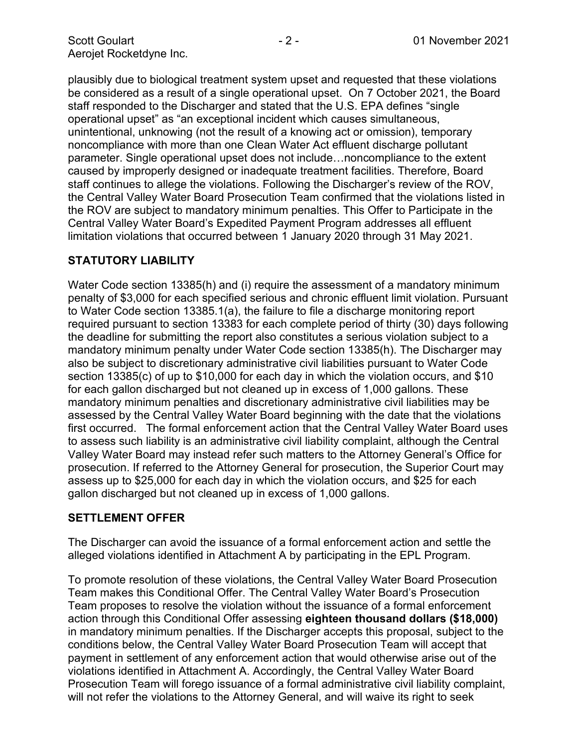plausibly due to biological treatment system upset and requested that these violations be considered as a result of a single operational upset. On 7 October 2021, the Board staff responded to the Discharger and stated that the U.S. EPA defines "single operational upset" as "an exceptional incident which causes simultaneous, unintentional, unknowing (not the result of a knowing act or omission), temporary noncompliance with more than one Clean Water Act effluent discharge pollutant parameter. Single operational upset does not include…noncompliance to the extent caused by improperly designed or inadequate treatment facilities. Therefore, Board staff continues to allege the violations. Following the Discharger's review of the ROV, the Central Valley Water Board Prosecution Team confirmed that the violations listed in the ROV are subject to mandatory minimum penalties. This Offer to Participate in the Central Valley Water Board's Expedited Payment Program addresses all effluent limitation violations that occurred between 1 January 2020 through 31 May 2021.

# **STATUTORY LIABILITY**

Water Code section 13385(h) and (i) require the assessment of a mandatory minimum penalty of \$3,000 for each specified serious and chronic effluent limit violation. Pursuant to Water Code section 13385.1(a), the failure to file a discharge monitoring report required pursuant to section 13383 for each complete period of thirty (30) days following the deadline for submitting the report also constitutes a serious violation subject to a mandatory minimum penalty under Water Code section 13385(h). The Discharger may also be subject to discretionary administrative civil liabilities pursuant to Water Code section 13385(c) of up to \$10,000 for each day in which the violation occurs, and \$10 for each gallon discharged but not cleaned up in excess of 1,000 gallons. These mandatory minimum penalties and discretionary administrative civil liabilities may be assessed by the Central Valley Water Board beginning with the date that the violations first occurred. The formal enforcement action that the Central Valley Water Board uses to assess such liability is an administrative civil liability complaint, although the Central Valley Water Board may instead refer such matters to the Attorney General's Office for prosecution. If referred to the Attorney General for prosecution, the Superior Court may assess up to \$25,000 for each day in which the violation occurs, and \$25 for each gallon discharged but not cleaned up in excess of 1,000 gallons.

# **SETTLEMENT OFFER**

The Discharger can avoid the issuance of a formal enforcement action and settle the alleged violations identified in Attachment A by participating in the EPL Program.

To promote resolution of these violations, the Central Valley Water Board Prosecution Team makes this Conditional Offer. The Central Valley Water Board's Prosecution Team proposes to resolve the violation without the issuance of a formal enforcement action through this Conditional Offer assessing **eighteen thousand dollars (\$18,000)** in mandatory minimum penalties. If the Discharger accepts this proposal, subject to the conditions below, the Central Valley Water Board Prosecution Team will accept that payment in settlement of any enforcement action that would otherwise arise out of the violations identified in Attachment A. Accordingly, the Central Valley Water Board Prosecution Team will forego issuance of a formal administrative civil liability complaint, will not refer the violations to the Attorney General, and will waive its right to seek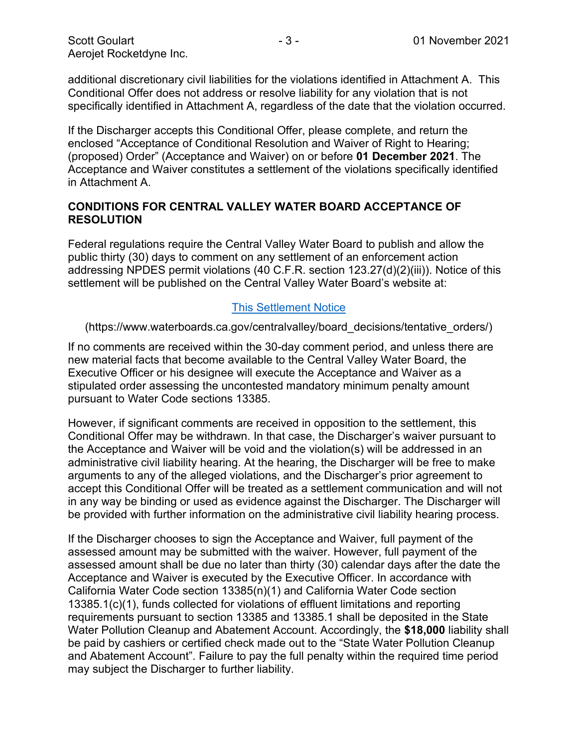additional discretionary civil liabilities for the violations identified in Attachment A. This Conditional Offer does not address or resolve liability for any violation that is not specifically identified in Attachment A, regardless of the date that the violation occurred.

If the Discharger accepts this Conditional Offer, please complete, and return the enclosed "Acceptance of Conditional Resolution and Waiver of Right to Hearing; (proposed) Order" (Acceptance and Waiver) on or before **01 December 2021**. The Acceptance and Waiver constitutes a settlement of the violations specifically identified in Attachment A.

## **CONDITIONS FOR CENTRAL VALLEY WATER BOARD ACCEPTANCE OF RESOLUTION**

Federal regulations require the Central Valley Water Board to publish and allow the public thirty (30) days to comment on any settlement of an enforcement action addressing NPDES permit violations (40 C.F.R. section 123.27(d)(2)(iii)). Notice of this settlement will be published on the Central Valley Water Board's website at:

# [This Settlement Notice](https://www.waterboards.ca.gov/centralvalley/board_decisions/tentative_orders/)

(https://www.waterboards.ca.gov/centralvalley/board\_decisions/tentative\_orders/)

If no comments are received within the 30-day comment period, and unless there are new material facts that become available to the Central Valley Water Board, the Executive Officer or his designee will execute the Acceptance and Waiver as a stipulated order assessing the uncontested mandatory minimum penalty amount pursuant to Water Code sections 13385.

However, if significant comments are received in opposition to the settlement, this Conditional Offer may be withdrawn. In that case, the Discharger's waiver pursuant to the Acceptance and Waiver will be void and the violation(s) will be addressed in an administrative civil liability hearing. At the hearing, the Discharger will be free to make arguments to any of the alleged violations, and the Discharger's prior agreement to accept this Conditional Offer will be treated as a settlement communication and will not in any way be binding or used as evidence against the Discharger. The Discharger will be provided with further information on the administrative civil liability hearing process.

If the Discharger chooses to sign the Acceptance and Waiver, full payment of the assessed amount may be submitted with the waiver. However, full payment of the assessed amount shall be due no later than thirty (30) calendar days after the date the Acceptance and Waiver is executed by the Executive Officer. In accordance with California Water Code section 13385(n)(1) and California Water Code section 13385.1(c)(1), funds collected for violations of effluent limitations and reporting requirements pursuant to section 13385 and 13385.1 shall be deposited in the State Water Pollution Cleanup and Abatement Account. Accordingly, the **\$18,000** liability shall be paid by cashiers or certified check made out to the "State Water Pollution Cleanup and Abatement Account". Failure to pay the full penalty within the required time period may subject the Discharger to further liability.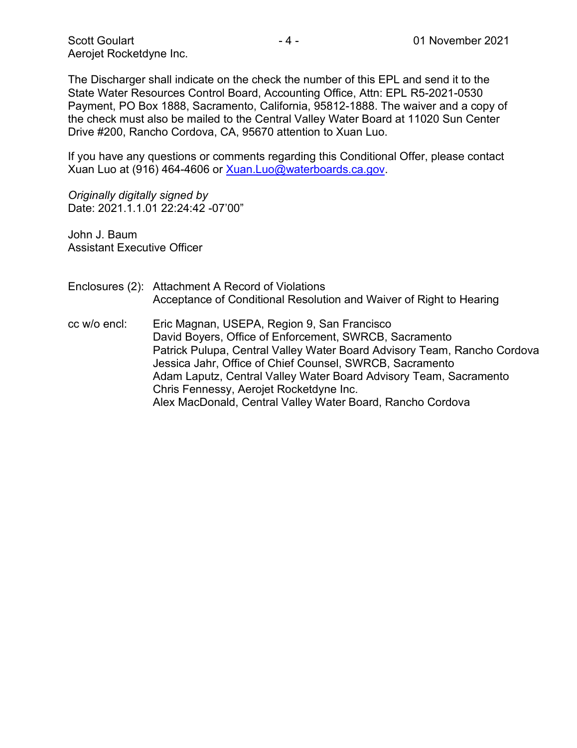The Discharger shall indicate on the check the number of this EPL and send it to the State Water Resources Control Board, Accounting Office, Attn: EPL R5-2021-0530 Payment, PO Box 1888, Sacramento, California, 95812-1888. The waiver and a copy of the check must also be mailed to the Central Valley Water Board at 11020 Sun Center Drive #200, Rancho Cordova, CA, 95670 attention to Xuan Luo.

If you have any questions or comments regarding this Conditional Offer, please contact Xuan Luo at (916) 464-4606 or [Xuan.Luo@waterboards.ca.gov.](mailto:Xuan.Luo@waterboards.ca.gov)

*Originally digitally signed by*  Date: 2021.1.1.01 22:24:42 -07'00"

John J. Baum Assistant Executive Officer

- Enclosures (2): Attachment A Record of Violations Acceptance of Conditional Resolution and Waiver of Right to Hearing
- cc w/o encl: Eric Magnan, USEPA, Region 9, San Francisco David Boyers, Office of Enforcement, SWRCB, Sacramento Patrick Pulupa, Central Valley Water Board Advisory Team, Rancho Cordova Jessica Jahr, Office of Chief Counsel, SWRCB, Sacramento Adam Laputz, Central Valley Water Board Advisory Team, Sacramento Chris Fennessy, Aerojet Rocketdyne Inc. Alex MacDonald, Central Valley Water Board, Rancho Cordova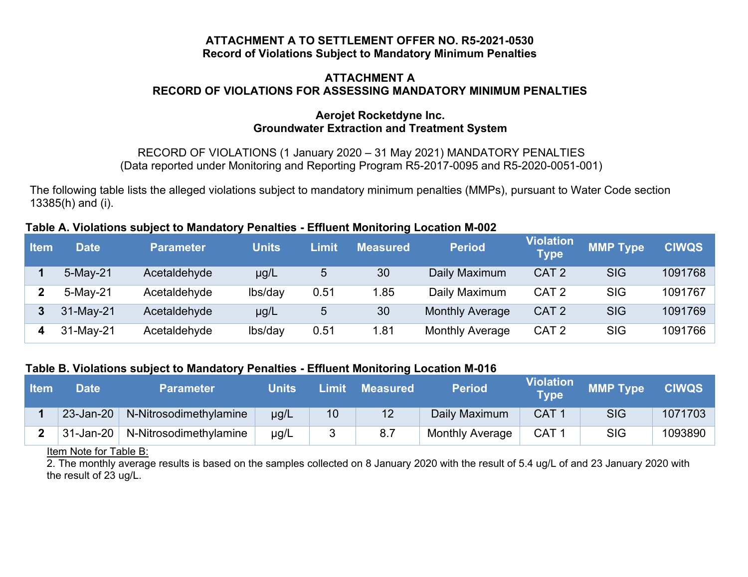#### **ATTACHMENT A TO SETTLEMENT OFFER NO. R5-2021-0530 Record of Violations Subject to Mandatory Minimum Penalties**

#### **ATTACHMENT A RECORD OF VIOLATIONS FOR ASSESSING MANDATORY MINIMUM PENALTIES**

#### **Aerojet Rocketdyne Inc. Groundwater Extraction and Treatment System**

## RECORD OF VIOLATIONS (1 January 2020 – 31 May 2021) MANDATORY PENALTIES (Data reported under Monitoring and Reporting Program R5-2017-0095 and R5-2020-0051-001)

The following table lists the alleged violations subject to mandatory minimum penalties (MMPs), pursuant to Water Code section 13385(h) and (i).

#### **Table A. Violations subject to Mandatory Penalties - Effluent Monitoring Location M-002**

| <b>Item</b> | <b>Date</b> | <b>Parameter</b> | <b>Units</b> | Limit | <b>Measured</b> | <b>Period</b>          | <b>Violation</b><br><b>Type</b> | <b>MMP Type</b> | <b>CIWQS</b> |
|-------------|-------------|------------------|--------------|-------|-----------------|------------------------|---------------------------------|-----------------|--------------|
|             | 5-May-21    | Acetaldehyde     | $\mu$ g/L    | 5     | 30              | Daily Maximum          | CAT <sub>2</sub>                | <b>SIG</b>      | 1091768      |
|             | 5-May-21    | Acetaldehyde     | lbs/day      | 0.51  | 1.85            | Daily Maximum          | CAT <sub>2</sub>                | <b>SIG</b>      | 1091767      |
|             | 31-May-21   | Acetaldehyde     | $\mu$ g/L    | 5     | 30              | <b>Monthly Average</b> | CAT <sub>2</sub>                | <b>SIG</b>      | 1091769      |
|             | $31-May-21$ | Acetaldehyde     | lbs/day      | 0.51  | 1.81            | <b>Monthly Average</b> | CAT <sub>2</sub>                | <b>SIG</b>      | 1091766      |

#### **Table B. Violations subject to Mandatory Penalties - Effluent Monitoring Location M-016**

| <b>Item</b> | Date      | Parameter              | Units | <b>/Limit</b> | Measured        | <b>Period</b>          | <b>Violation</b><br><b>Type</b> | <b>MMP Type</b> | <b>CIWQS</b> |
|-------------|-----------|------------------------|-------|---------------|-----------------|------------------------|---------------------------------|-----------------|--------------|
|             | 23-Jan-20 | N-Nitrosodimethylamine | ug/L  | 10            | 12 <sub>1</sub> | Daily Maximum          | <b>CAT</b>                      | SIG             | 1071703      |
|             | 31-Jan-20 | N-Nitrosodimethylamine | ug/L  |               |                 | <b>Monthly Average</b> | CAT                             | <b>SIG</b>      | 1093890      |

Item Note for Table B:

2. The monthly average results is based on the samples collected on 8 January 2020 with the result of 5.4 ug/L of and 23 January 2020 with the result of 23 ug/L.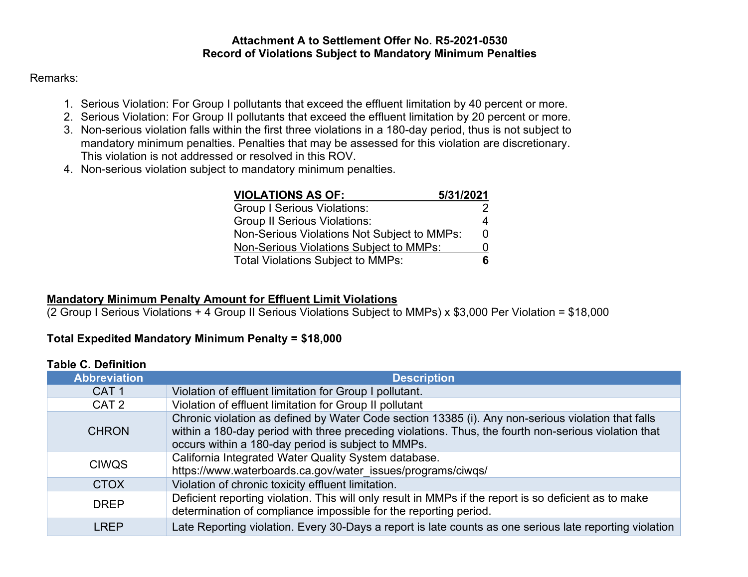#### **Attachment A to Settlement Offer No. R5-2021-0530 Record of Violations Subject to Mandatory Minimum Penalties**

## Remarks:

- 1. Serious Violation: For Group I pollutants that exceed the effluent limitation by 40 percent or more.
- 2. Serious Violation: For Group II pollutants that exceed the effluent limitation by 20 percent or more.
- 3. Non-serious violation falls within the first three violations in a 180-day period, thus is not subject to mandatory minimum penalties. Penalties that may be assessed for this violation are discretionary. This violation is not addressed or resolved in this ROV.
- 4. Non-serious violation subject to mandatory minimum penalties.

| <b>VIOLATIONS AS OF:</b>                       | 5/31/2021 |
|------------------------------------------------|-----------|
| Group I Serious Violations:                    |           |
| <b>Group II Serious Violations:</b>            |           |
| Non-Serious Violations Not Subject to MMPs:    |           |
| <b>Non-Serious Violations Subject to MMPs:</b> |           |
| Total Violations Subject to MMPs:              |           |

## **Mandatory Minimum Penalty Amount for Effluent Limit Violations**

(2 Group I Serious Violations + 4 Group II Serious Violations Subject to MMPs) x \$3,000 Per Violation = \$18,000

# **Total Expedited Mandatory Minimum Penalty = \$18,000**

## **Table C. Definition**

| <b>Abbreviation</b> | <b>Description</b>                                                                                                                                                                                                                                               |
|---------------------|------------------------------------------------------------------------------------------------------------------------------------------------------------------------------------------------------------------------------------------------------------------|
| CAT <sub>1</sub>    | Violation of effluent limitation for Group I pollutant.                                                                                                                                                                                                          |
| CAT <sub>2</sub>    | Violation of effluent limitation for Group II pollutant                                                                                                                                                                                                          |
| <b>CHRON</b>        | Chronic violation as defined by Water Code section 13385 (i). Any non-serious violation that falls<br>within a 180-day period with three preceding violations. Thus, the fourth non-serious violation that<br>occurs within a 180-day period is subject to MMPs. |
| <b>CIWQS</b>        | California Integrated Water Quality System database.<br>https://www.waterboards.ca.gov/water_issues/programs/ciwqs/                                                                                                                                              |
| <b>CTOX</b>         | Violation of chronic toxicity effluent limitation.                                                                                                                                                                                                               |
| <b>DREP</b>         | Deficient reporting violation. This will only result in MMPs if the report is so deficient as to make<br>determination of compliance impossible for the reporting period.                                                                                        |
| <b>LREP</b>         | Late Reporting violation. Every 30-Days a report is late counts as one serious late reporting violation                                                                                                                                                          |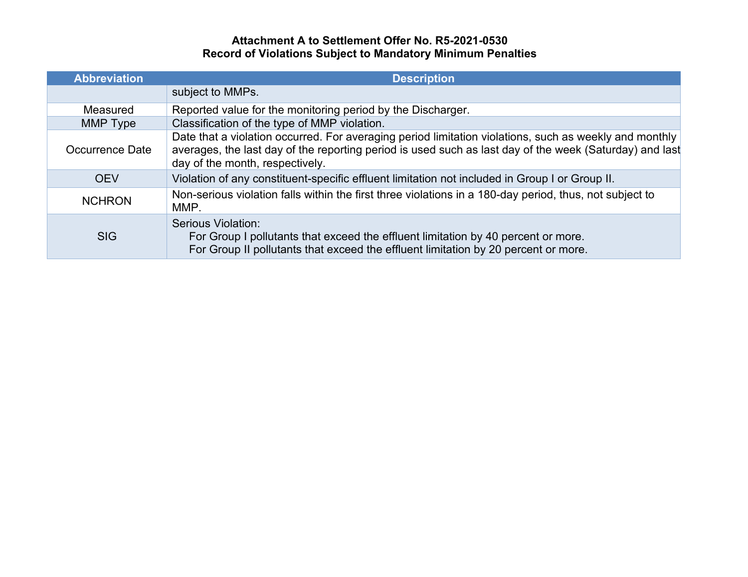# **Attachment A to Settlement Offer No. R5-2021-0530 Record of Violations Subject to Mandatory Minimum Penalties**

| <b>Abbreviation</b> | <b>Description</b>                                                                                                                                                                                                                                   |
|---------------------|------------------------------------------------------------------------------------------------------------------------------------------------------------------------------------------------------------------------------------------------------|
|                     | subject to MMPs.                                                                                                                                                                                                                                     |
| Measured            | Reported value for the monitoring period by the Discharger.                                                                                                                                                                                          |
| MMP Type            | Classification of the type of MMP violation.                                                                                                                                                                                                         |
| Occurrence Date     | Date that a violation occurred. For averaging period limitation violations, such as weekly and monthly<br>averages, the last day of the reporting period is used such as last day of the week (Saturday) and last<br>day of the month, respectively. |
| <b>OEV</b>          | Violation of any constituent-specific effluent limitation not included in Group I or Group II.                                                                                                                                                       |
| <b>NCHRON</b>       | Non-serious violation falls within the first three violations in a 180-day period, thus, not subject to<br>MMP.                                                                                                                                      |
| <b>SIG</b>          | Serious Violation:<br>For Group I pollutants that exceed the effluent limitation by 40 percent or more.<br>For Group II pollutants that exceed the effluent limitation by 20 percent or more.                                                        |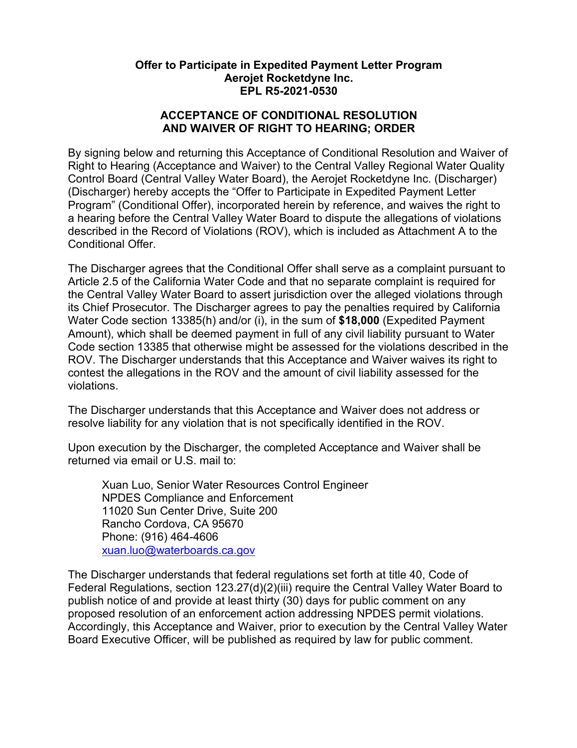#### **Offer to Participate in Expedited Payment Letter Program Aerojet Rocketdyne Inc. EPL R5-2021-0530**

## **ACCEPTANCE OF CONDITIONAL RESOLUTION AND WAIVER OF RIGHT TO HEARING; ORDER**

By signing below and returning this Acceptance of Conditional Resolution and Waiver of Right to Hearing (Acceptance and Waiver) to the Central Valley Regional Water Quality Control Board (Central Valley Water Board), the Aerojet Rocketdyne Inc. (Discharger) (Discharger) hereby accepts the "Offer to Participate in Expedited Payment Letter Program" (Conditional Offer), incorporated herein by reference, and waives the right to a hearing before the Central Valley Water Board to dispute the allegations of violations described in the Record of Violations (ROV), which is included as Attachment A to the Conditional Offer.

The Discharger agrees that the Conditional Offer shall serve as a complaint pursuant to Article 2.5 of the California Water Code and that no separate complaint is required for the Central Valley Water Board to assert jurisdiction over the alleged violations through its Chief Prosecutor. The Discharger agrees to pay the penalties required by California Water Code section 13385(h) and/or (i), in the sum of **\$18,000** (Expedited Payment Amount), which shall be deemed payment in full of any civil liability pursuant to Water Code section 13385 that otherwise might be assessed for the violations described in the ROV. The Discharger understands that this Acceptance and Waiver waives its right to contest the allegations in the ROV and the amount of civil liability assessed for the violations.

The Discharger understands that this Acceptance and Waiver does not address or resolve liability for any violation that is not specifically identified in the ROV.

Upon execution by the Discharger, the completed Acceptance and Waiver shall be returned via email or U.S. mail to:

Xuan Luo, Senior Water Resources Control Engineer NPDES Compliance and Enforcement 11020 Sun Center Drive, Suite 200 Rancho Cordova, CA 95670 Phone: (916) 464-4606 [xuan.luo@waterboards.ca.gov](mailto:xuan.luo@waterboards.ca.gov)

The Discharger understands that federal regulations set forth at title 40, Code of Federal Regulations, section 123.27(d)(2)(iii) require the Central Valley Water Board to publish notice of and provide at least thirty (30) days for public comment on any proposed resolution of an enforcement action addressing NPDES permit violations. Accordingly, this Acceptance and Waiver, prior to execution by the Central Valley Water Board Executive Officer, will be published as required by law for public comment.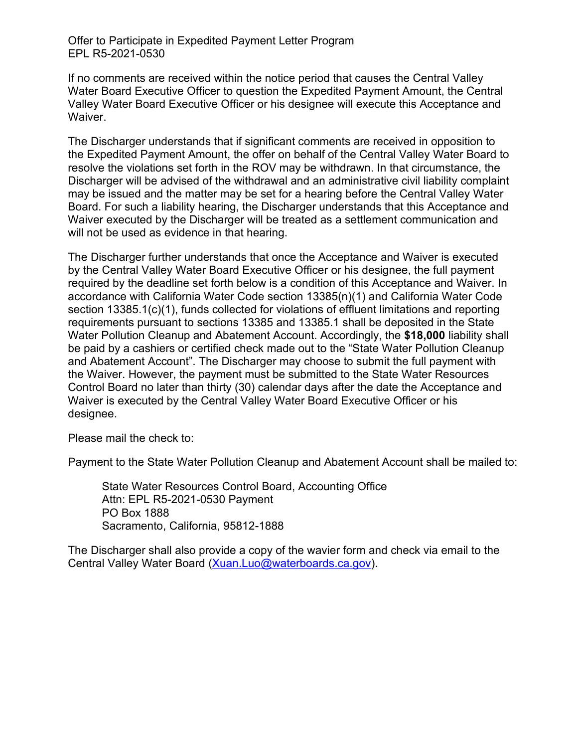Offer to Participate in Expedited Payment Letter Program EPL R5-2021-0530

If no comments are received within the notice period that causes the Central Valley Water Board Executive Officer to question the Expedited Payment Amount, the Central Valley Water Board Executive Officer or his designee will execute this Acceptance and Waiver.

The Discharger understands that if significant comments are received in opposition to the Expedited Payment Amount, the offer on behalf of the Central Valley Water Board to resolve the violations set forth in the ROV may be withdrawn. In that circumstance, the Discharger will be advised of the withdrawal and an administrative civil liability complaint may be issued and the matter may be set for a hearing before the Central Valley Water Board. For such a liability hearing, the Discharger understands that this Acceptance and Waiver executed by the Discharger will be treated as a settlement communication and will not be used as evidence in that hearing.

The Discharger further understands that once the Acceptance and Waiver is executed by the Central Valley Water Board Executive Officer or his designee, the full payment required by the deadline set forth below is a condition of this Acceptance and Waiver. In accordance with California Water Code section 13385(n)(1) and California Water Code section 13385.1(c)(1), funds collected for violations of effluent limitations and reporting requirements pursuant to sections 13385 and 13385.1 shall be deposited in the State Water Pollution Cleanup and Abatement Account. Accordingly, the **\$18,000** liability shall be paid by a cashiers or certified check made out to the "State Water Pollution Cleanup and Abatement Account". The Discharger may choose to submit the full payment with the Waiver. However, the payment must be submitted to the State Water Resources Control Board no later than thirty (30) calendar days after the date the Acceptance and Waiver is executed by the Central Valley Water Board Executive Officer or his designee.

Please mail the check to:

Payment to the State Water Pollution Cleanup and Abatement Account shall be mailed to:

State Water Resources Control Board, Accounting Office Attn: EPL R5-2021-0530 Payment PO Box 1888 Sacramento, California, 95812-1888

The Discharger shall also provide a copy of the wavier form and check via email to the Central Valley Water Board ([Xuan.Luo@waterboards.ca.gov](mailto:Xuan.Luo@waterboards.ca.gov)).